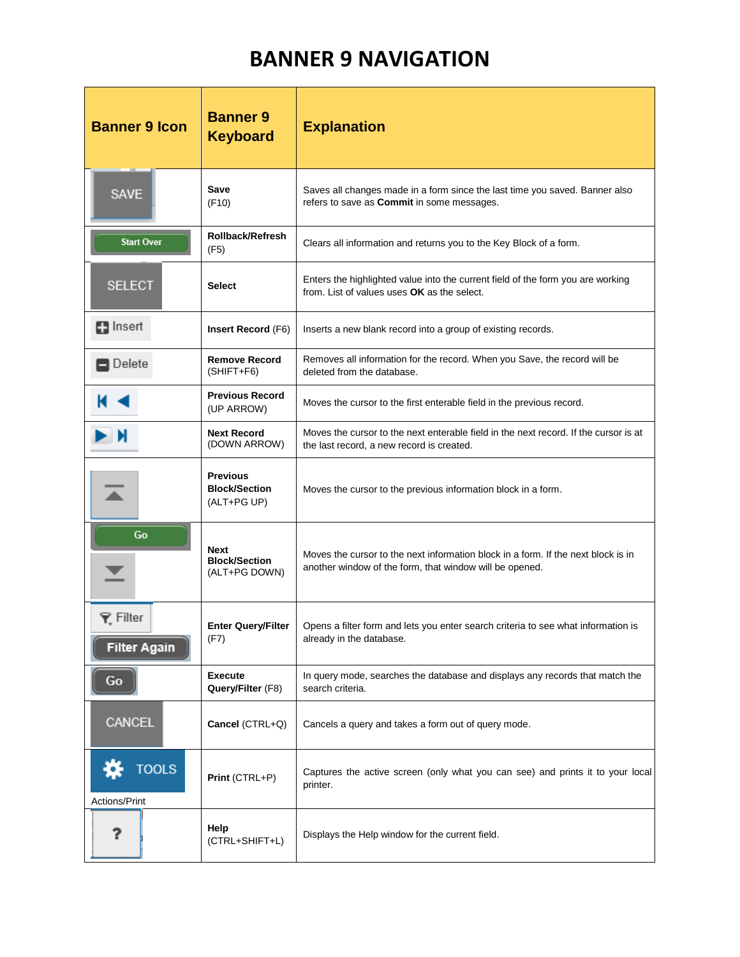## **BANNER 9 NAVIGATION**

| <b>Banner 9 Icon</b>                   | <b>Banner 9</b><br><b>Keyboard</b>                     | <b>Explanation</b>                                                                                                                           |  |  |
|----------------------------------------|--------------------------------------------------------|----------------------------------------------------------------------------------------------------------------------------------------------|--|--|
| <b>SAVE</b>                            | Save<br>(F10)                                          | Saves all changes made in a form since the last time you saved. Banner also<br>refers to save as Commit in some messages.                    |  |  |
| <b>Start Over</b>                      | <b>Rollback/Refresh</b><br>(F5)                        | Clears all information and returns you to the Key Block of a form.                                                                           |  |  |
| <b>SELECT</b>                          | <b>Select</b>                                          | Enters the highlighted value into the current field of the form you are working<br>from. List of values uses OK as the select.               |  |  |
| <b>En</b> Insert                       | Insert Record (F6)                                     | Inserts a new blank record into a group of existing records.                                                                                 |  |  |
| Delete                                 | <b>Remove Record</b><br>$(SHIFT + F6)$                 | Removes all information for the record. When you Save, the record will be<br>deleted from the database.                                      |  |  |
|                                        | <b>Previous Record</b><br>(UP ARROW)                   | Moves the cursor to the first enterable field in the previous record.                                                                        |  |  |
| И                                      | <b>Next Record</b><br>(DOWN ARROW)                     | Moves the cursor to the next enterable field in the next record. If the cursor is at<br>the last record, a new record is created.            |  |  |
|                                        | <b>Previous</b><br><b>Block/Section</b><br>(ALT+PG UP) | Moves the cursor to the previous information block in a form.                                                                                |  |  |
| Go                                     | <b>Next</b><br><b>Block/Section</b><br>(ALT+PG DOWN)   | Moves the cursor to the next information block in a form. If the next block is in<br>another window of the form, that window will be opened. |  |  |
| <b>▼</b> Filter<br><b>Filter Again</b> | <b>Enter Query/Filter</b><br>(F7)                      | Opens a filter form and lets you enter search criteria to see what information is<br>already in the database.                                |  |  |
| Go                                     | <b>Execute</b><br>Query/Filter (F8)                    | In query mode, searches the database and displays any records that match the<br>search criteria.                                             |  |  |
| CANCEL                                 | Cancel (CTRL+Q)                                        | Cancels a query and takes a form out of query mode.                                                                                          |  |  |
| <b>TOOLS</b><br>Actions/Print          | Print (CTRL+P)                                         | Captures the active screen (only what you can see) and prints it to your local<br>printer.                                                   |  |  |
| ?                                      | Help<br>(CTRL+SHIFT+L)                                 | Displays the Help window for the current field.                                                                                              |  |  |